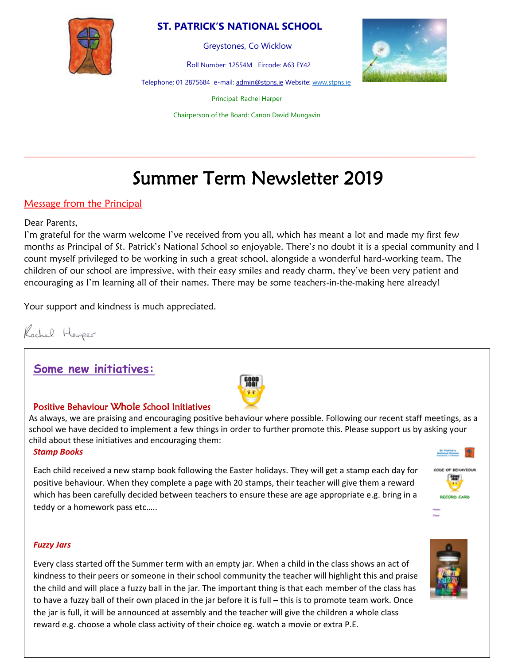## **ST. PATRICK'S NATIONAL SCHOOL**



Greystones, Co Wicklow

Roll Number: 12554M Eircode: A63 EY42

Telephone: 01 2875684 e-mail[: admin@stpns.ie](mailto:admin@stpns.ie) Website[: www.stpns.ie](http://www.stpns.ie/)

Principal: Rachel Harper

Chairperson of the Board: Canon David Mungavin

\_\_\_\_\_\_\_\_\_\_\_\_\_\_\_\_\_\_\_\_\_\_\_\_\_\_\_\_\_\_\_\_\_\_\_\_\_\_\_\_\_\_\_\_\_\_\_\_\_\_\_\_\_\_\_\_\_\_\_\_\_\_\_\_\_\_\_\_\_\_\_\_\_\_\_\_\_\_\_\_\_\_\_\_\_\_\_\_\_\_\_\_\_\_\_\_\_\_\_\_\_\_\_\_\_\_\_\_

# Summer Term Newsletter 2019

#### Message from the Principal

#### Dear Parents,

I'm grateful for the warm welcome I've received from you all, which has meant a lot and made my first few months as Principal of St. Patrick's National School so enjoyable. There's no doubt it is a special community and I count myself privileged to be working in such a great school, alongside a wonderful hard-working team. The children of our school are impressive, with their easy smiles and ready charm, they've been very patient and encouraging as I'm learning all of their names. There may be some teachers-in-the-making here already!

Your support and kindness is much appreciated.

Rachel Heuper

## **Some new initiatives:**



#### Positive Behaviour Whole School Initiatives

As always, we are praising and encouraging positive behaviour where possible. Following our recent staff meetings, as a school we have decided to implement a few things in order to further promote this. Please support us by asking your child about these initiatives and encouraging them:

#### *Stamp Books*

Each child received a new stamp book following the Easter holidays. They will get a stamp each day for positive behaviour. When they complete a page with 20 stamps, their teacher will give them a reward which has been carefully decided between teachers to ensure these are age appropriate e.g. bring in a teddy or a homework pass etc…..



#### *Fuzzy Jars*

Every class started off the Summer term with an empty jar. When a child in the class shows an act of kindness to their peers or someone in their school community the teacher will highlight this and praise the child and will place a fuzzy ball in the jar. The important thing is that each member of the class has to have a fuzzy ball of their own placed in the jar before it is full – this is to promote team work. Once the jar is full, it will be announced at assembly and the teacher will give the children a whole class reward e.g. choose a whole class activity of their choice eg. watch a movie or extra P.E.

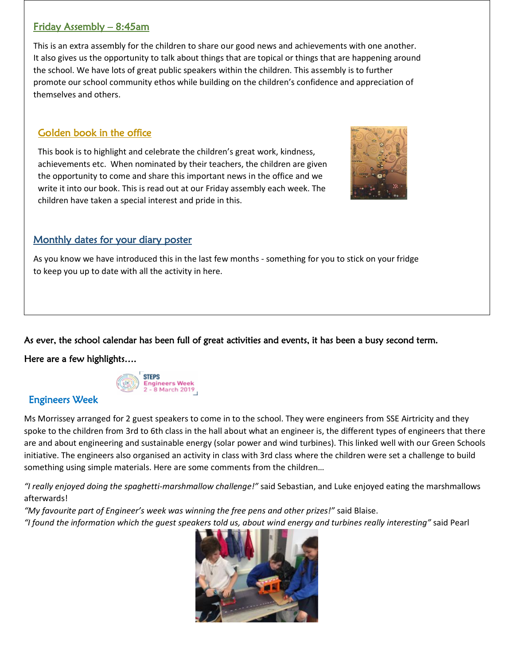## Friday Assembly – 8:45am

This is an extra assembly for the children to share our good news and achievements with one another. It also gives us the opportunity to talk about things that are topical or things that are happening around the school. We have lots of great public speakers within the children. This assembly is to further promote our school community ethos while building on the children's confidence and appreciation of themselves and others.

## Golden book in the office

This book is to highlight and celebrate the children's great work, kindness, achievements etc. When nominated by their teachers, the children are given the opportunity to come and share this important news in the office and we write it into our book. This is read out at our Friday assembly each week. The children have taken a special interest and pride in this.



## Monthly dates for your diary poster

As you know we have introduced this in the last few months - something for you to stick on your fridge to keep you up to date with all the activity in here.

As ever, the school calendar has been full of great activities and events, it has been a busy second term.

## Here are a few highlights….



## Engineers Week

Ms Morrissey arranged for 2 guest speakers to come in to the school. They were engineers from SSE Airtricity and they spoke to the children from 3rd to 6th class in the hall about what an engineer is, the different types of engineers that there are and about engineering and sustainable energy (solar power and wind turbines). This linked well with our Green Schools initiative. The engineers also organised an activity in class with 3rd class where the children were set a challenge to build something using simple materials. Here are some comments from the children…

*"I really enjoyed doing the spaghetti-marshmallow challenge!"* said Sebastian, and Luke enjoyed eating the marshmallows afterwards!

*"My favourite part of Engineer's week was winning the free pens and other prizes!"* said Blaise.

*"I found the information which the guest speakers told us, about wind energy and turbines really interesting"* said Pearl

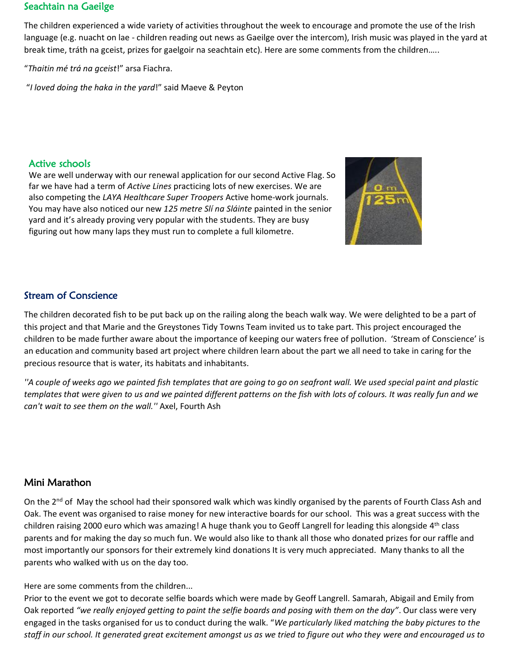#### Seachtain na Gaeilge

The children experienced a wide variety of activities throughout the week to encourage and promote the use of the Irish language (e.g. nuacht on lae - children reading out news as Gaeilge over the intercom), Irish music was played in the yard at break time, tráth na gceist, prizes for gaelgoir na seachtain etc). Here are some comments from the children…..

"*Thaitin mé trá na gceist*!" arsa Fiachra.

"*I loved doing the haka in the yard*!" said Maeve & Peyton

#### Active schools

We are well underway with our renewal application for our second Active Flag. So far we have had a term of *Active Lines* practicing lots of new exercises. We are also competing the *LAYA Healthcare Super Troopers* Active home-work journals. You may have also noticed our new *125 metre Slí na Sláinte* painted in the senior yard and it's already proving very popular with the students. They are busy figuring out how many laps they must run to complete a full kilometre.



## Stream of Conscience

The children decorated fish to be put back up on the railing along the beach walk way. We were delighted to be a part of this project and that Marie and the Greystones Tidy Towns Team invited us to take part. This project encouraged the children to be made further aware about the importance of keeping our waters free of pollution. 'Stream of Conscience' is an education and community based art project where children learn about the part we all need to take in caring for the precious resource that is water, its habitats and inhabitants.

*''A couple of weeks ago we painted fish templates that are going to go on seafront wall. We used special paint and plastic templates that were given to us and we painted different patterns on the fish with lots of colours. It was really fun and we can't wait to see them on the wall.''* Axel, Fourth Ash

## Mini Marathon

On the 2<sup>nd</sup> of May the school had their sponsored walk which was kindly organised by the parents of Fourth Class Ash and Oak. The event was organised to raise money for new interactive boards for our school. This was a great success with the children raising 2000 euro which was amazing! A huge thank you to Geoff Langrell for leading this alongside 4<sup>th</sup> class parents and for making the day so much fun. We would also like to thank all those who donated prizes for our raffle and most importantly our sponsors for their extremely kind donations It is very much appreciated. Many thanks to all the parents who walked with us on the day too.

#### Here are some comments from the children...

Prior to the event we got to decorate selfie boards which were made by Geoff Langrell. Samarah, Abigail and Emily from Oak reported *"we really enjoyed getting to paint the selfie boards and posing with them on the day"*. Our class were very engaged in the tasks organised for us to conduct during the walk. "*We particularly liked matching the baby pictures to the staff in our school. It generated great excitement amongst us as we tried to figure out who they were and encouraged us to*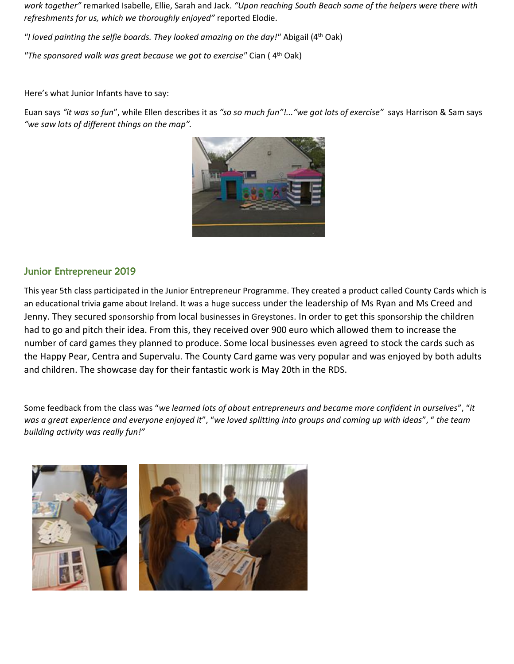*work together"* remarked Isabelle, Ellie, Sarah and Jack. *"Upon reaching South Beach some of the helpers were there with refreshments for us, which we thoroughly enjoyed"* reported Elodie.

*"I loved painting the selfie boards. They looked amazing on the day!"* Abigail (4th Oak)

*"The sponsored walk was great because we got to exercise"* Cian ( 4th Oak)

Here's what Junior Infants have to say:

Euan says *"it was so fun*", while Ellen describes it as *"so so much fun"!..."we got lots of exercise"* says Harrison & Sam says *"we saw lots of different things on the map".*



#### Junior Entrepreneur 2019

This year 5th class participated in the Junior Entrepreneur Programme. They created a product called County Cards which is an educational trivia game about Ireland. It was a huge success under the leadership of Ms Ryan and Ms Creed and Jenny. They secured sponsorship from local businesses in Greystones. In order to get this sponsorship the children had to go and pitch their idea. From this, they received over 900 euro which allowed them to increase the number of card games they planned to produce. Some local businesses even agreed to stock the cards such as the Happy Pear, Centra and Supervalu. The County Card game was very popular and was enjoyed by both adults and children. The showcase day for their fantastic work is May 20th in the RDS.

Some feedback from the class was "*we learned lots of about entrepreneurs and became more confident in ourselves*", "*it was a great experience and everyone enjoyed it*", "*we loved splitting into groups and coming up with ideas*", " *the team building activity was really fun!"*

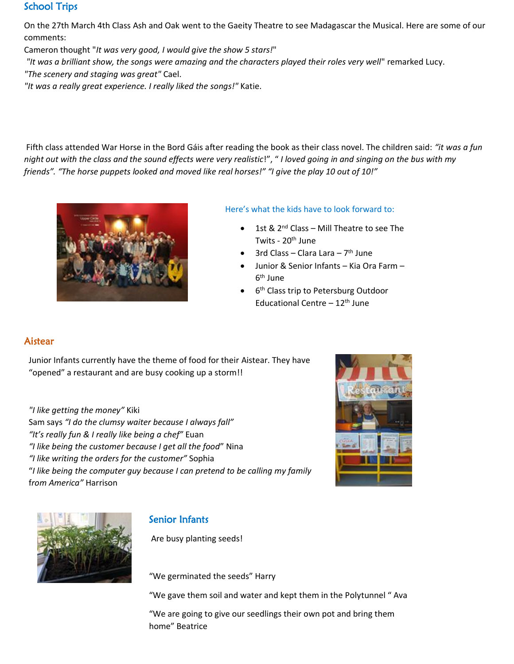### School Trips

On the 27th March 4th Class Ash and Oak went to the Gaeity Theatre to see Madagascar the Musical. Here are some of our comments:

Cameron thought "*It was very good, I would give the show 5 stars!*"

*"It was a brilliant show, the songs were amazing and the characters played their roles very well*" remarked Lucy.

*"The scenery and staging was great"* Cael.

*"It was a really great experience. I really liked the songs!"* Katie.

Fifth class attended War Horse in the Bord Gáis after reading the book as their class novel. The children said: *"it was a fun night out with the class and the sound effects were very realistic*!", " *I loved going in and singing on the bus with my friends". "The horse puppets looked and moved like real horses!" "I give the play 10 out of 10!"*



#### Here's what the kids have to look forward to:

- 1st & 2<sup>nd</sup> Class Mill Theatre to see The Twits - 20<sup>th</sup> June
- 3rd Class Clara Lara 7<sup>th</sup> June
- Junior & Senior Infants Kia Ora Farm 6<sup>th</sup> June
- 6<sup>th</sup> Class trip to Petersburg Outdoor Educational Centre  $-12$ <sup>th</sup> June

## Aistear

Junior Infants currently have the theme of food for their Aistear. They have "opened" a restaurant and are busy cooking up a storm!!

#### *"I like getting the money"* Kiki

Sam says *"I do the clumsy waiter because I always fall" "It's really fun & I really like being a chef"* Euan *"I like being the customer because I get all the food*" Nina *"I like writing the orders for the customer"* Sophia "*I like being the computer guy because I can pretend to be calling my family* f*rom America"* Harrison





## Senior Infants

Are busy planting seeds!

"We germinated the seeds" Harry

"We gave them soil and water and kept them in the Polytunnel " Ava

"We are going to give our seedlings their own pot and bring them home" Beatrice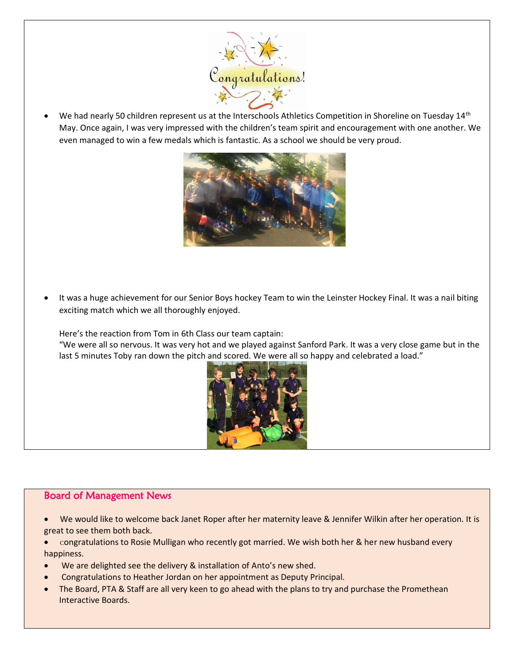

• We had nearly 50 children represent us at the Interschools Athletics Competition in Shoreline on Tuesday 14th May. Once again, I was very impressed with the children's team spirit and encouragement with one another. We even managed to win a few medals which is fantastic. As a school we should be very proud.



It was a huge achievement for our Senior Boys hockey Team to win the Leinster Hockey Final. It was a nail biting exciting match which we all thoroughly enjoyed.

Here's the reaction from Tom in 6th Class our team captain:

"We were all so nervous. It was very hot and we played against Sanford Park. It was a very close game but in the last 5 minutes Toby ran down the pitch and scored. We were all so happy and celebrated a load."



#### Board of Management News

- We would like to welcome back Janet Roper after her maternity leave & Jennifer Wilkin after her operation. It is great to see them both back.
- Congratulations to Rosie Mulligan who recently got married. We wish both her & her new husband every happiness.
- We are delighted see the delivery & installation of Anto's new shed.
- Congratulations to Heather Jordan on her appointment as Deputy Principal.
- The Board, PTA & Staff are all very keen to go ahead with the plans to try and purchase the Promethean Interactive Boards.